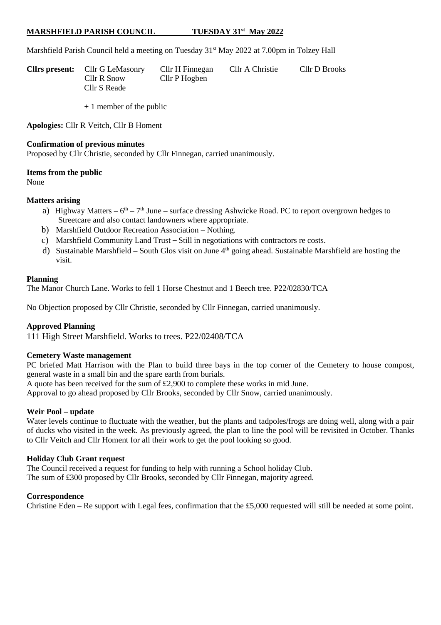#### **MARSHFIELD PARISH COUNCIL TUESDAY 31st May 2022**

Marshfield Parish Council held a meeting on Tuesday 31<sup>st</sup> May 2022 at 7.00pm in Tolzey Hall

| <b>Clirs present:</b> Cllr G LeMasonry | Cllr H Finnegan | Cllr A Christie | Cllr D Brooks |
|----------------------------------------|-----------------|-----------------|---------------|
| Cllr R Snow                            | Cllr P Hogben   |                 |               |
| Cllr S Reade                           |                 |                 |               |

+ 1 member of the public

**Apologies:** Cllr R Veitch, Cllr B Homent

#### **Confirmation of previous minutes**

Proposed by Cllr Christie, seconded by Cllr Finnegan, carried unanimously.

#### **Items from the public**

None

## **Matters arising**

- a) Highway Matters  $6<sup>th</sup> 7<sup>th</sup>$  June surface dressing Ashwicke Road. PC to report overgrown hedges to Streetcare and also contact landowners where appropriate.
- b) Marshfield Outdoor Recreation Association Nothing.
- c) Marshfield Community Land Trust *–* Still in negotiations with contractors re costs.
- d) Sustainable Marshfield South Glos visit on June 4<sup>th</sup> going ahead. Sustainable Marshfield are hosting the visit.

#### **Planning**

The Manor Church Lane. Works to fell 1 Horse Chestnut and 1 Beech tree. P22/02830/TCA

No Objection proposed by Cllr Christie, seconded by Cllr Finnegan, carried unanimously.

### **Approved Planning**

111 High Street Marshfield. Works to trees. P22/02408/TCA

### **Cemetery Waste management**

PC briefed Matt Harrison with the Plan to build three bays in the top corner of the Cemetery to house compost, general waste in a small bin and the spare earth from burials.

A quote has been received for the sum of £2,900 to complete these works in mid June.

Approval to go ahead proposed by Cllr Brooks, seconded by Cllr Snow, carried unanimously.

### **Weir Pool – update**

Water levels continue to fluctuate with the weather, but the plants and tadpoles/frogs are doing well, along with a pair of ducks who visited in the week. As previously agreed, the plan to line the pool will be revisited in October. Thanks to Cllr Veitch and Cllr Homent for all their work to get the pool looking so good.

## **Holiday Club Grant request**

The Council received a request for funding to help with running a School holiday Club. The sum of £300 proposed by Cllr Brooks, seconded by Cllr Finnegan, majority agreed.

### **Correspondence**

Christine Eden – Re support with Legal fees, confirmation that the £5,000 requested will still be needed at some point.